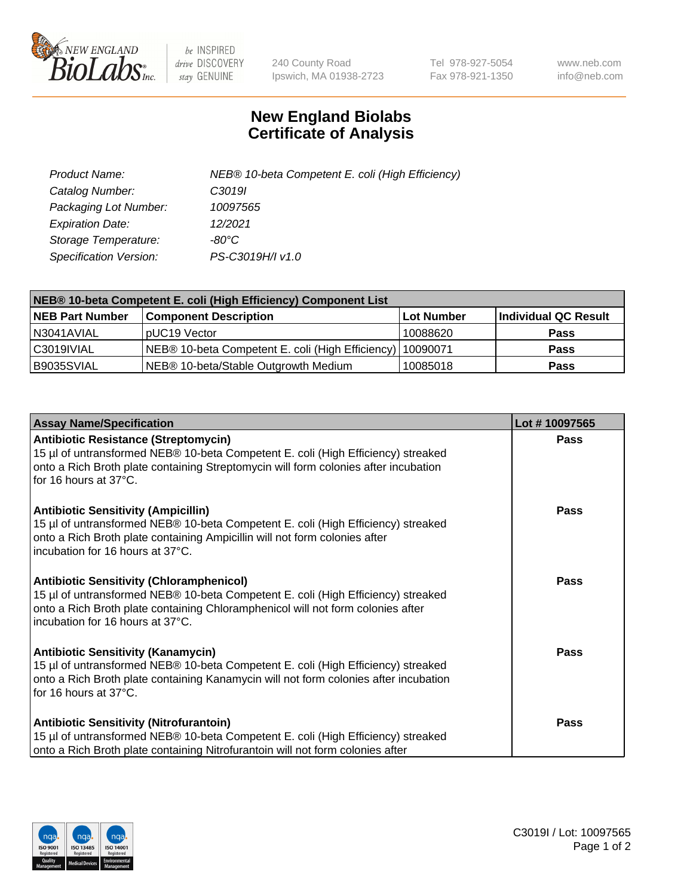

 $be$  INSPIRED drive DISCOVERY stay GENUINE

240 County Road Ipswich, MA 01938-2723 Tel 978-927-5054 Fax 978-921-1350 www.neb.com info@neb.com

## **New England Biolabs Certificate of Analysis**

| Product Name:           | NEB® 10-beta Competent E. coli (High Efficiency) |
|-------------------------|--------------------------------------------------|
| Catalog Number:         | C3019I                                           |
| Packaging Lot Number:   | 10097565                                         |
| <b>Expiration Date:</b> | 12/2021                                          |
| Storage Temperature:    | -80°C                                            |
| Specification Version:  | PS-C3019H/I v1.0                                 |

| NEB® 10-beta Competent E. coli (High Efficiency) Component List |                                                             |            |                      |  |
|-----------------------------------------------------------------|-------------------------------------------------------------|------------|----------------------|--|
| <b>NEB Part Number</b>                                          | <b>Component Description</b>                                | Lot Number | Individual QC Result |  |
| N3041AVIAL                                                      | pUC19 Vector                                                | 10088620   | <b>Pass</b>          |  |
| C3019IVIAL                                                      | NEB® 10-beta Competent E. coli (High Efficiency)   10090071 |            | <b>Pass</b>          |  |
| B9035SVIAL                                                      | NEB® 10-beta/Stable Outgrowth Medium                        | 10085018   | <b>Pass</b>          |  |

| <b>Assay Name/Specification</b>                                                                                                                                                                                                                            | Lot #10097565 |
|------------------------------------------------------------------------------------------------------------------------------------------------------------------------------------------------------------------------------------------------------------|---------------|
| <b>Antibiotic Resistance (Streptomycin)</b><br>15 µl of untransformed NEB® 10-beta Competent E. coli (High Efficiency) streaked<br>onto a Rich Broth plate containing Streptomycin will form colonies after incubation<br>for 16 hours at 37°C.            | <b>Pass</b>   |
| <b>Antibiotic Sensitivity (Ampicillin)</b><br>15 µl of untransformed NEB® 10-beta Competent E. coli (High Efficiency) streaked<br>onto a Rich Broth plate containing Ampicillin will not form colonies after<br>incubation for 16 hours at 37°C.           | Pass          |
| <b>Antibiotic Sensitivity (Chloramphenicol)</b><br>15 µl of untransformed NEB® 10-beta Competent E. coli (High Efficiency) streaked<br>onto a Rich Broth plate containing Chloramphenicol will not form colonies after<br>incubation for 16 hours at 37°C. | Pass          |
| <b>Antibiotic Sensitivity (Kanamycin)</b><br>15 µl of untransformed NEB® 10-beta Competent E. coli (High Efficiency) streaked<br>onto a Rich Broth plate containing Kanamycin will not form colonies after incubation<br>for 16 hours at 37°C.             | <b>Pass</b>   |
| <b>Antibiotic Sensitivity (Nitrofurantoin)</b><br>15 µl of untransformed NEB® 10-beta Competent E. coli (High Efficiency) streaked<br>onto a Rich Broth plate containing Nitrofurantoin will not form colonies after                                       | Pass          |